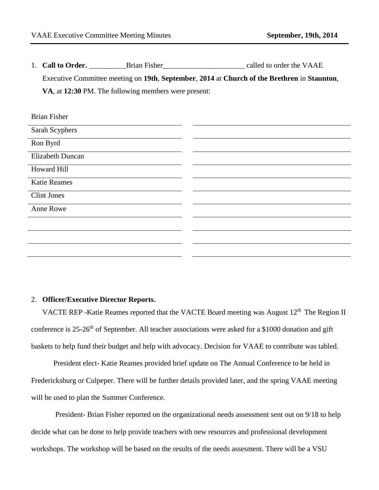1. **Call to Order. Brian Fisher Called to order the VAAE** Executive Committee meeting on **19th**, **September**, **2014** at **Church of the Brethren** in **Staunton**, **VA**, at **12:30** PM. The following members were present:

| <b>Brian Fisher</b> |  |
|---------------------|--|
| Sarah Scyphers      |  |
| Ron Byrd            |  |
| Elizabeth Duncan    |  |
| Howard Hill         |  |
| <b>Katie Reames</b> |  |
| <b>Clint Jones</b>  |  |
| Anne Rowe           |  |
|                     |  |
|                     |  |
|                     |  |

## 2. **Officer/Executive Director Reports.**

VACTE REP -Katie Reames reported that the VACTE Board meeting was August 12<sup>th</sup> The Region II conference is 25-26<sup>th</sup> of September. All teacher associations were asked for a \$1000 donation and gift baskets to help fund their budget and help with advocacy. Decision for VAAE to contribute was tabled.

President elect- Katie Reames provided brief update on The Annual Conference to be held in Fredericksburg or Culpeper. There will be further details provided later, and the spring VAAE meeting will be used to plan the Summer Conference.

President- Brian Fisher reported on the organizational needs assessment sent out on 9/18 to help decide what can be done to help provide teachers with new resources and professional development workshops. The workshop will be based on the results of the needs assesment. There will be a VSU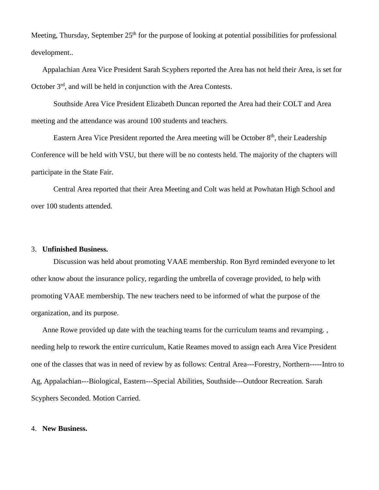Meeting, Thursday, September  $25<sup>th</sup>$  for the purpose of looking at potential possibilities for professional development..

Appalachian Area Vice President Sarah Scyphers reported the Area has not held their Area, is set for October 3rd, and will be held in conjunction with the Area Contests.

Southside Area Vice President Elizabeth Duncan reported the Area had their COLT and Area meeting and the attendance was around 100 students and teachers.

Eastern Area Vice President reported the Area meeting will be October 8<sup>th</sup>, their Leadership Conference will be held with VSU, but there will be no contests held. The majority of the chapters will participate in the State Fair.

Central Area reported that their Area Meeting and Colt was held at Powhatan High School and over 100 students attended.

## 3. **Unfinished Business.**

Discussion was held about promoting VAAE membership. Ron Byrd reminded everyone to let other know about the insurance policy, regarding the umbrella of coverage provided, to help with promoting VAAE membership. The new teachers need to be informed of what the purpose of the organization, and its purpose.

Anne Rowe provided up date with the teaching teams for the curriculum teams and revamping. , needing help to rework the entire curriculum, Katie Reames moved to assign each Area Vice President one of the classes that was in need of review by as follows: Central Area---Forestry, Northern-----Intro to Ag, Appalachian---Biological, Eastern---Special Abilities, Southside---Outdoor Recreation. Sarah Scyphers Seconded. Motion Carried.

## 4. **New Business.**